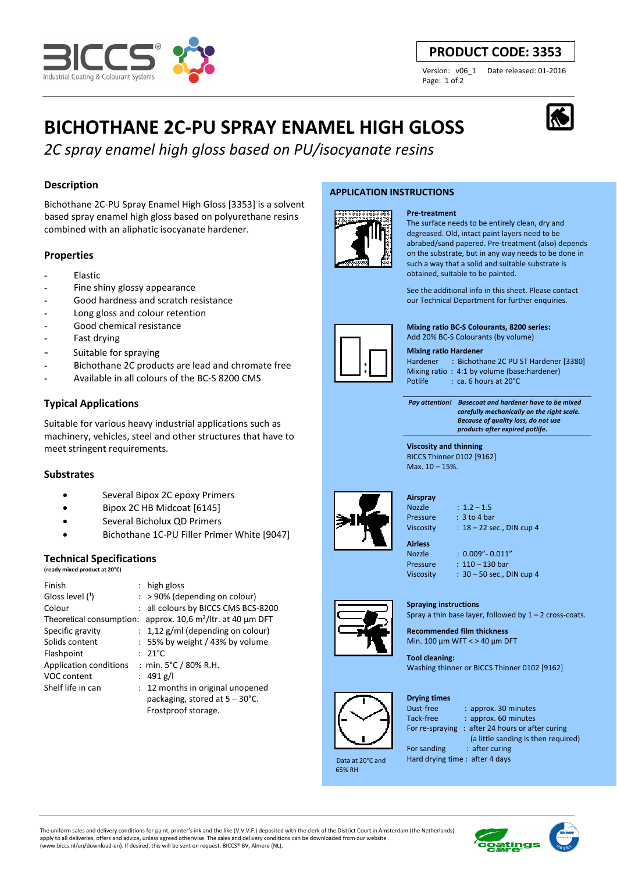

# **PRODUCT CODE: 3353**

Version: v06\_1 Date released: 01-2016 Page: 1 of 2

# **BICHOTHANE 2C-PU SPRAY ENAMEL HIGH GLOSS**

*2C spray enamel high gloss based on PU/isocyanate resins*

# **Description**

Bichothane 2C-PU Spray Enamel High Gloss [3353] is a solvent based spray enamel high gloss based on polyurethane resins combined with an aliphatic isocyanate hardener.

# **Properties**

- **Elastic**
- Fine shiny glossy appearance
- Good hardness and scratch resistance
- Long gloss and colour retention
- Good chemical resistance
- Fast drying
- Suitable for spraying
- Bichothane 2C products are lead and chromate free
- Available in all colours of the BC-S 8200 CMS

# **Typical Applications**

Suitable for various heavy industrial applications such as machinery, vehicles, steel and other structures that have to meet stringent requirements.

## **Substrates**

- Several Bipox 2C epoxy Primers
- Bipox 2C HB Midcoat [6145]
- Several Bicholux QD Primers
- Bichothane 1C-PU Filler Primer White [9047]

## **Technical Specifications**

**(ready mixed product at 20°C)**

| Finish                   | : high gloss                             |
|--------------------------|------------------------------------------|
| Gloss level (1)          | $:$ > 90% (depending on colour)          |
| Colour                   | : all colours by BICCS CMS BCS-8200      |
| Theoretical consumption: | approx. 10,6 $m^2$ /ltr. at 40 µm DFT    |
| Specific gravity         | $: 1,12$ g/ml (depending on colour)      |
| Solids content           | $: 55\%$ by weight / 43% by volume       |
| Flashpoint               | $: 21^{\circ}$ C                         |
| Application conditions   | : min. $5^{\circ}$ C / 80% R.H.          |
| VOC content              | : $491$ g/l                              |
| Shelf life in can        | : 12 months in original unopened         |
|                          | packaging, stored at $5 - 30^{\circ}$ C. |
|                          | Frostproof storage.                      |

#### **APPLICATION INSTRUCTIONS**



**Pre-treatment** The surface needs to be entirely clean, dry and degreased. Old, intact paint layers need to be abrabed/sand papered. Pre-treatment (also) depends on the substrate, but in any way needs to be done in such a way that a solid and suitable substrate is obtained, suitable to be painted.

See the additional info in this sheet. Please contact our Technical Department for further enquiries.



#### **Mixing ratio BC-S Colourants, 8200 series:**

Add 20% BC-S Colourants (by volume)

**Mixing ratio Hardener** 

Hardener : Bichothane 2C PU ST Hardener [3380] Mixing ratio : 4:1 by volume (base:hardener)<br>Potlife : ca. 6 hours at 20°C : ca. 6 hours at 20°C

 *Pay attention! Basecoat and hardener have to be mixed carefully mechanically on the right scale. Because of quality loss, do not use products after expired potlife.*

**Viscosity and thinning**  BICCS Thinner 0102 [9162] Max. 10 – 15%.



Nozzle  $\cdot$  1.2 – 1.5

Pressure : 3 to 4 bar Viscosity :  $18 - 22$  sec., DIN cup 4

**Airless** 

Nozzle : 0.009"- 0.011" Pressure : 110 – 130 bar Viscosity : 30 – 50 sec., DIN cup 4

#### **Spraying instructions**

Spray a thin base layer, followed by  $1 - 2$  cross-coats.

**Recommended film thickness**  Min. 100 µm WFT < > 40 µm DFT

**Tool cleaning:**  Washing thinner or BICCS Thinner 0102 [9162]



65% RH

**Drying times** 

Data at 20°C and

Dust-free : approx. 30 minutes Tack-free : approx. 60 minutes For re-spraying : after 24 hours or after curing (a little sanding is then required) For sanding : after curing

Hard drying time : after 4 days

The uniform sales and delivery conditions for paint, printer's ink and the like (V.V.V.F.) deposited with the clerk of the District Court in Amsterdam (the Netherlands) apply to all deliveries, offers and advice, unless agreed otherwise. The sales and delivery conditions can be downloaded from our website (www.biccs.nl/en/download-en). If desired, this will be sent on request. BICCS® BV, Almere (NL).





**Airspray**